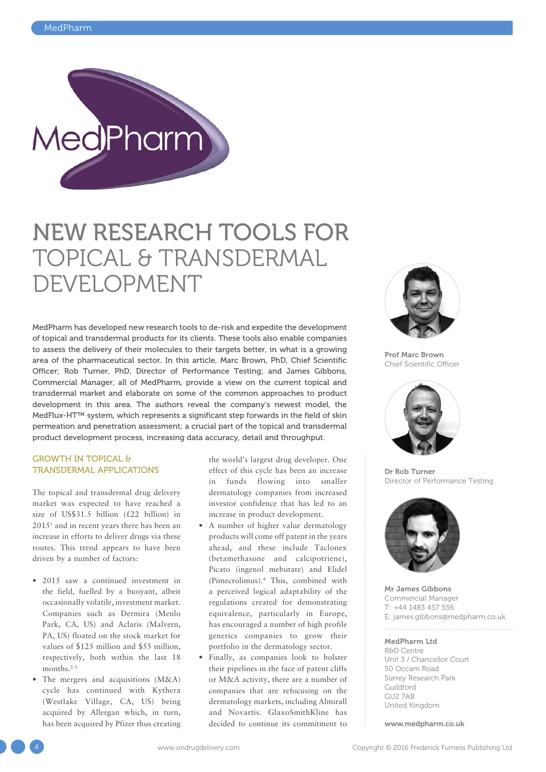

# NEW RESEARCH TOOLS FOR TOPICAL & TRANSDERMAL DEVELOPMENT

MedPharm has developed new research tools to de-risk and expedite the development of topical and transdermal products for its clients. These tools also enable companies to assess the delivery of their molecules to their targets better, in what is a growing area of the pharmaceutical sector. In this article, Marc Brown, PhD, Chief Scientific Officer; Rob Turner, PhD, Director of Performance Testing; and James Gibbons, Commercial Manager, all of MedPharm, provide a view on the current topical and transdermal market and elaborate on some of the common approaches to product development in this area. The authors reveal the company's newest model, the MedFlux-HT™ system, which represents a significant step forwards in the field of skin permeation and penetration assessment; a crucial part of the topical and transdermal product development process, increasing data accuracy, detail and throughput.

## GROWTH IN TOPICAL & TRANSDERMAL APPLICATIONS

The topical and transdermal drug delivery market was expected to have reached a size of US\$31.5 billion (£22 billion) in 20151 and in recent years there has been an increase in efforts to deliver drugs via these routes. This trend appears to have been driven by a number of factors:

- 2015 saw a continued investment in the field, fuelled by a buoyant, albeit occasionally volatile, investment market. Companies such as Dermira (Menlo Park, CA, US) and Aclaris (Malvern, PA, US) floated on the stock market for values of \$125 million and \$55 million, respectively, both within the last 18 months.<sup>2-3</sup>
- The mergers and acquisitions (M&A) cycle has continued with Kythera (Westlake Village, CA, US) being acquired by Allergan which, in turn, has been acquired by Pfizer thus creating

the world's largest drug developer. One effect of this cycle has been an increase in funds flowing into smaller dermatology companies from increased investor confidence that has led to an increase in product development.

- A number of higher value dermatology products will come off patent in the years ahead, and these include Taclonex (betamethasone and calcipotriene), Picato (ingenol mebutate) and Elidel (Pimecrolimus).4 This, combined with a perceived logical adaptability of the regulations created for demonstrating equivalence, particularly in Europe, has encouraged a number of high profile generics companies to grow their portfolio in the dermatology sector.
- Finally, as companies look to bolster their pipelines in the face of patent cliffs or M&A activity, there are a number of companies that are refocusing on the dermatology markets, including Almirall and Novartis. GlaxoSmithKline has decided to continue its commitment to



Prof Marc Brown Chief Scientific Officer



Dr Rob Turner Director of Performance Testing



Mr James Gibbons Commercial Manager T: +44 1483 457 556 E: james.gibbons@medpharm.co.uk

## MedPharm Ltd

R&D Centre Unit 3 / Chancellor Court 50 Occam Road Surrey Research Park Guildford GU2 7AB United Kingdom

www.medpharm.co.uk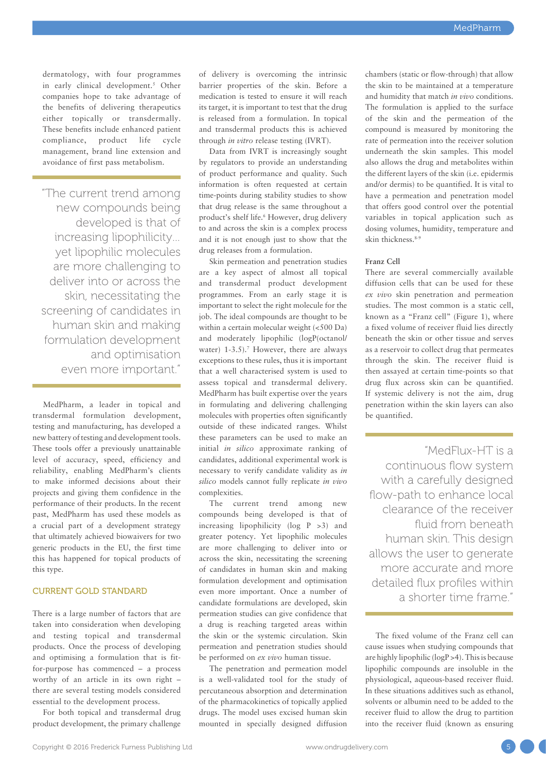dermatology, with four programmes in early clinical development.5 Other companies hope to take advantage of the benefits of delivering therapeutics either topically or transdermally. These benefits include enhanced patient compliance, product life cycle management, brand line extension and avoidance of first pass metabolism.

"The current trend among new compounds being developed is that of increasing lipophilicity… yet lipophilic molecules are more challenging to deliver into or across the skin, necessitating the screening of candidates in human skin and making formulation development and optimisation even more important."

MedPharm, a leader in topical and transdermal formulation development, testing and manufacturing, has developed a new battery of testing and development tools. These tools offer a previously unattainable level of accuracy, speed, efficiency and reliability, enabling MedPharm's clients to make informed decisions about their projects and giving them confidence in the performance of their products. In the recent past, MedPharm has used these models as a crucial part of a development strategy that ultimately achieved biowaivers for two generic products in the EU, the first time this has happened for topical products of this type.

## CURRENT GOLD STANDARD

There is a large number of factors that are taken into consideration when developing and testing topical and transdermal products. Once the process of developing and optimising a formulation that is fitfor-purpose has commenced – a process worthy of an article in its own right – there are several testing models considered essential to the development process.

For both topical and transdermal drug product development, the primary challenge of delivery is overcoming the intrinsic barrier properties of the skin. Before a medication is tested to ensure it will reach its target, it is important to test that the drug is released from a formulation. In topical and transdermal products this is achieved through *in vitro* release testing (IVRT).

Data from IVRT is increasingly sought by regulators to provide an understanding of product performance and quality. Such information is often requested at certain time-points during stability studies to show that drug release is the same throughout a product's shelf life.6 However, drug delivery to and across the skin is a complex process and it is not enough just to show that the drug releases from a formulation.

Skin permeation and penetration studies are a key aspect of almost all topical and transdermal product development programmes. From an early stage it is important to select the right molecule for the job. The ideal compounds are thought to be within a certain molecular weight (<500 Da) and moderately lipophilic (logP(octanol/ water)  $1-3.5$ ).<sup>7</sup> However, there are always exceptions to these rules, thus it is important that a well characterised system is used to assess topical and transdermal delivery. MedPharm has built expertise over the years in formulating and delivering challenging molecules with properties often significantly outside of these indicated ranges. Whilst these parameters can be used to make an initial *in silico* approximate ranking of candidates, additional experimental work is necessary to verify candidate validity as *in silico* models cannot fully replicate *in vivo* complexities.

The current trend among new compounds being developed is that of increasing lipophilicity ( $log P >3$ ) and greater potency. Yet lipophilic molecules are more challenging to deliver into or across the skin, necessitating the screening of candidates in human skin and making formulation development and optimisation even more important. Once a number of candidate formulations are developed, skin permeation studies can give confidence that a drug is reaching targeted areas within the skin or the systemic circulation. Skin permeation and penetration studies should be performed on *ex vivo* human tissue.

The penetration and permeation model is a well-validated tool for the study of percutaneous absorption and determination of the pharmacokinetics of topically applied drugs. The model uses excised human skin mounted in specially designed diffusion chambers (static or flow-through) that allow the skin to be maintained at a temperature and humidity that match *in vivo* conditions. The formulation is applied to the surface of the skin and the permeation of the compound is measured by monitoring the rate of permeation into the receiver solution underneath the skin samples. This model also allows the drug and metabolites within the different layers of the skin (i.e. epidermis and/or dermis) to be quantified. It is vital to have a permeation and penetration model that offers good control over the potential variables in topical application such as dosing volumes, humidity, temperature and skin thickness.8-9

### **Franz Cell**

There are several commercially available diffusion cells that can be used for these *ex vivo* skin penetration and permeation studies. The most common is a static cell, known as a "Franz cell" (Figure 1), where a fixed volume of receiver fluid lies directly beneath the skin or other tissue and serves as a reservoir to collect drug that permeates through the skin. The receiver fluid is then assayed at certain time-points so that drug flux across skin can be quantified. If systemic delivery is not the aim, drug penetration within the skin layers can also be quantified.

"MedFlux-HT is a continuous flow system with a carefully designed flow-path to enhance local clearance of the receiver fluid from beneath human skin. This design allows the user to generate more accurate and more detailed flux profiles within a shorter time frame."

The fixed volume of the Franz cell can cause issues when studying compounds that are highly lipophilic (logP >4). This is because lipophilic compounds are insoluble in the physiological, aqueous-based receiver fluid. In these situations additives such as ethanol, solvents or albumin need to be added to the receiver fluid to allow the drug to partition into the receiver fluid (known as ensuring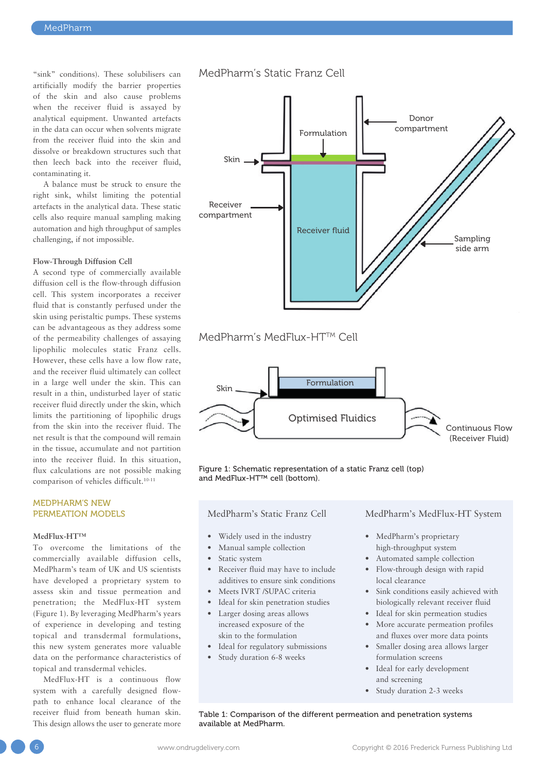"sink" conditions). These solubilisers can artificially modify the barrier properties of the skin and also cause problems when the receiver fluid is assayed by analytical equipment. Unwanted artefacts in the data can occur when solvents migrate from the receiver fluid into the skin and dissolve or breakdown structures such that then leech back into the receiver fluid, contaminating it.

A balance must be struck to ensure the right sink, whilst limiting the potential artefacts in the analytical data. These static cells also require manual sampling making automation and high throughput of samples challenging, if not impossible.

#### **Flow-Through Diffusion Cell**

A second type of commercially available diffusion cell is the flow-through diffusion cell. This system incorporates a receiver fluid that is constantly perfused under the skin using peristaltic pumps. These systems can be advantageous as they address some of the permeability challenges of assaying lipophilic molecules static Franz cells. However, these cells have a low flow rate, and the receiver fluid ultimately can collect in a large well under the skin. This can result in a thin, undisturbed layer of static receiver fluid directly under the skin, which limits the partitioning of lipophilic drugs from the skin into the receiver fluid. The net result is that the compound will remain in the tissue, accumulate and not partition into the receiver fluid. In this situation, flux calculations are not possible making comparison of vehicles difficult.10-11

## MEDPHARM'S NEW PERMEATION MODELS

#### **MedFlux-HT™**

To overcome the limitations of the commercially available diffusion cells, MedPharm's team of UK and US scientists have developed a proprietary system to assess skin and tissue permeation and penetration; the MedFlux-HT system (Figure 1). By leveraging MedPharm's years of experience in developing and testing topical and transdermal formulations, this new system generates more valuable data on the performance characteristics of topical and transdermal vehicles.

MedFlux-HT is a continuous flow system with a carefully designed flowpath to enhance local clearance of the receiver fluid from beneath human skin. This design allows the user to generate more

## MedPharm's Static Franz Cell



# MedPharm's MedFlux-HT<sup>TM</sup> Cell



Figure 1: Schematic representation of a static Franz cell (top) and MedFlux-HT™ cell (bottom).

MedPharm's Static Franz Cell

- Widely used in the industry
- Manual sample collection
- Static system
- Receiver fluid may have to include additives to ensure sink conditions
- Meets IVRT /SUPAC criteria
- Ideal for skin penetration studies
- Larger dosing areas allows increased exposure of the skin to the formulation
- Ideal for regulatory submissions
- Study duration 6-8 weeks

MedPharm's MedFlux-HT System

- MedPharm's proprietary high-throughput system
- Automated sample collection
- Flow-through design with rapid local clearance
- Sink conditions easily achieved with biologically relevant receiver fluid
- Ideal for skin permeation studies
- More accurate permeation profiles and fluxes over more data points
- Smaller dosing area allows larger formulation screens
- Ideal for early development and screening
- Study duration 2-3 weeks

Table 1: Comparison of the different permeation and penetration systems available at MedPharm.